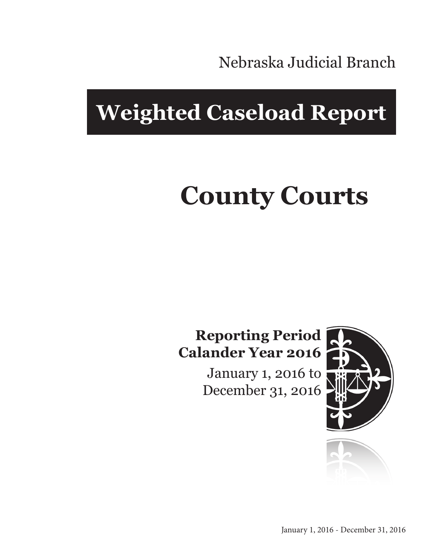Nebraska Judicial Branch

## **Weighted Caseload Report**

# **County Courts**

#### **Reporting Period Calander Year 2016**

January 1, 2016 to December 31, 2016



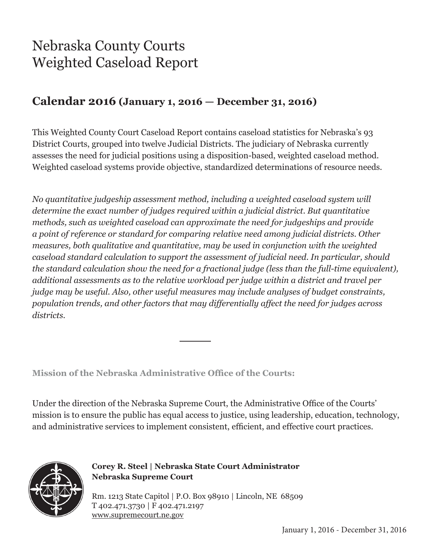## Nebraska County Courts Weighted Caseload Report

#### **Calendar 2016 (January 1, 2016 — December 31, 2016)**

This Weighted County Court Caseload Report contains caseload statistics for Nebraska's 93 District Courts, grouped into twelve Judicial Districts. The judiciary of Nebraska currently assesses the need for judicial positions using a disposition-based, weighted caseload method. Weighted caseload systems provide objective, standardized determinations of resource needs.

*No quantitative judgeship assessment method, including a weighted caseload system will determine the exact number of judges required within a judicial district. But quantitative methods, such as weighted caseload can approximate the need for judgeships and provide a point of reference or standard for comparing relative need among judicial districts. Other measures, both qualitative and quantitative, may be used in conjunction with the weighted caseload standard calculation to support the assessment of judicial need. In particular, should the standard calculation show the need for a fractional judge (less than the full-time equivalent), additional assessments as to the relative workload per judge within a district and travel per judge may be useful. Also, other useful measures may include analyses of budget constraints, population trends, and other factors that may differentially affect the need for judges across districts.*

**Mission of the Nebraska Administrative Office of the Courts:**

Under the direction of the Nebraska Supreme Court, the Administrative Office of the Courts' mission is to ensure the public has equal access to justice, using leadership, education, technology, and administrative services to implement consistent, efficient, and effective court practices.



**Corey R. Steel | Nebraska State Court Administrator Nebraska Supreme Court**

Rm. 1213 State Capitol | P.O. Box 98910 | Lincoln, NE 68509 T 402.471.3730 | F 402.471.2197 www.supremecourt.ne.gov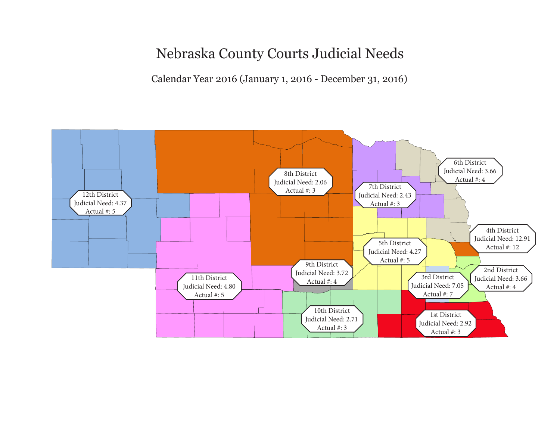Nebraska County Courts Judicial Needs

Calendar Year 2016 (January 1, 2016 - December 31, 2016)

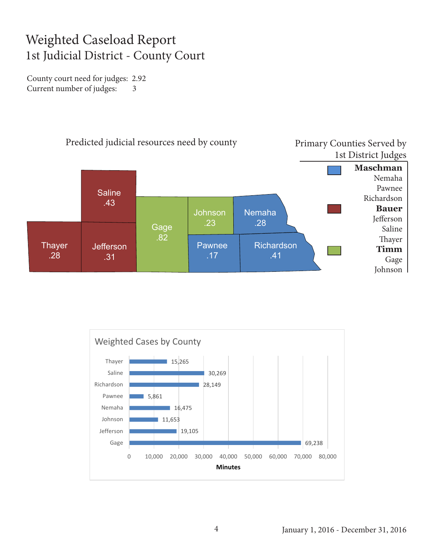#### Weighted Caseload Report 1st Judicial District - County Court

County court need for judges: 2.92 Current number of judges: 3



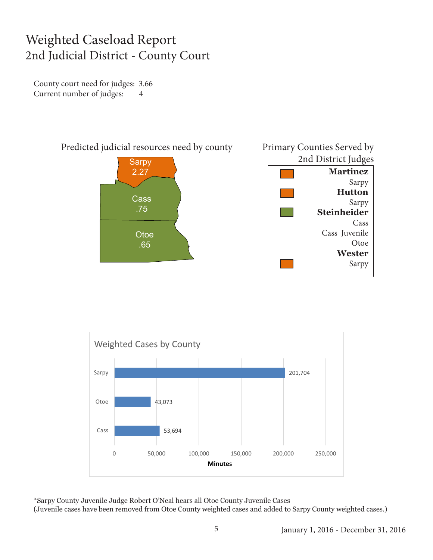#### Weighted Caseload Report 2nd Judicial District - County Court

County court need for judges: 3.66 Current number of judges: 4





\*Sarpy County Juvenile Judge Robert O'Neal hears all Otoe County Juvenile Cases (Juvenile cases have been removed from Otoe County weighted cases and added to Sarpy County weighted cases.)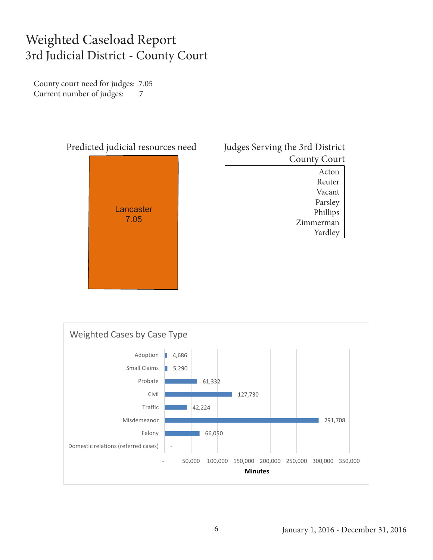#### Weighted Caseload Report 3rd Judicial District - County Court

County court need for judges: 7.05 Current number of judges: 7



| Judges Serving the 3rd District |
|---------------------------------|
| <b>County Court</b>             |
| Acton                           |
| Reuter                          |
| Vacant                          |
| Parsley                         |
| Phillips                        |
| Zimmerman                       |
| Yardley                         |

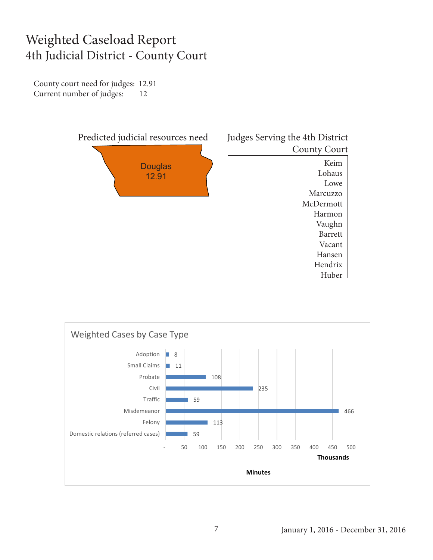#### Weighted Caseload Report 4th Judicial District - County Court

County court need for judges: 12.91 Current number of judges: 12



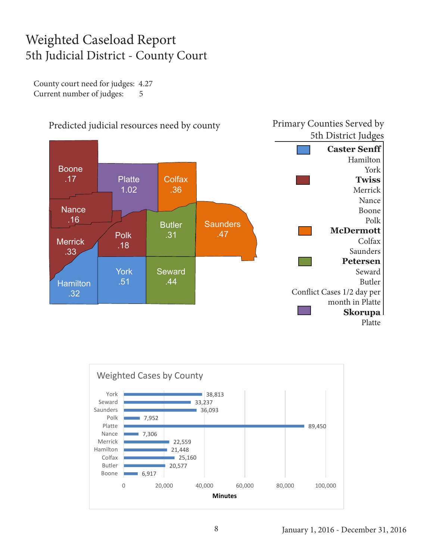#### Weighted Caseload Report 5th Judicial District - County Court

County court need for judges: 4.27 Current number of judges: 5



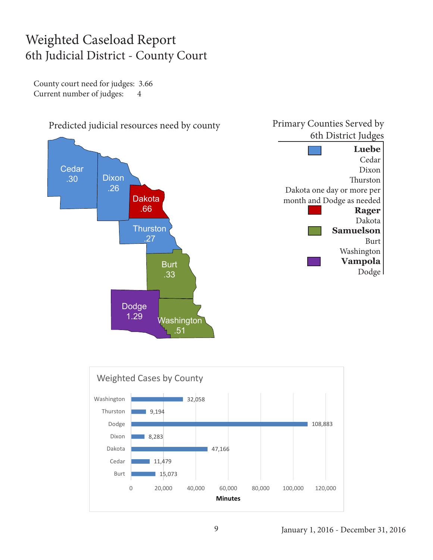#### Weighted Caseload Report 6th Judicial District - County Court

County court need for judges: 3.66 Current number of judges: 4

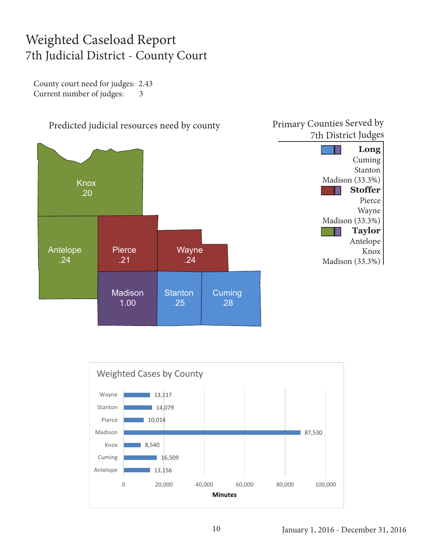#### Weighted Caseload Report 7th Judicial District - County Court

County court need for judges: 2.43 Current number of judges: 3



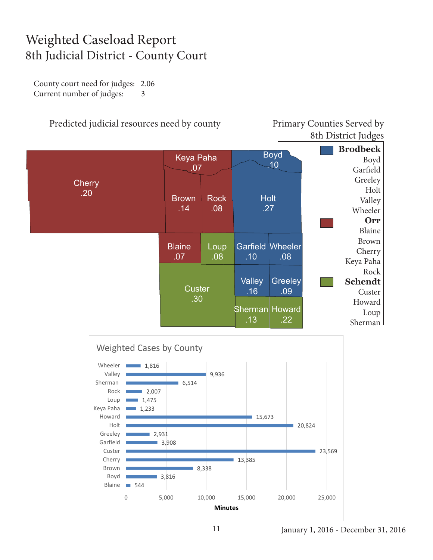### Weighted Caseload Report 8th Judicial District - County Court

County court need for judges: 2.06 Current number of judges: 3



23,569

0 5,000 10,000 15,000 20,000 25,000

**Minutes**

13,385

8,338

544

ь

Blaine Boyd Brown Cherry Custer

3,816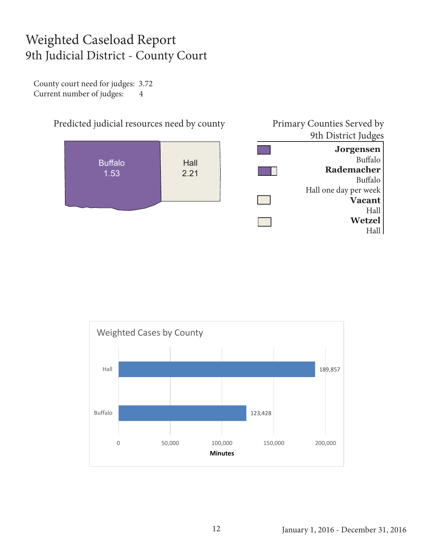#### Weighted Caseload Report 9th Judicial District - County Court

County court need for judges: 3.72 Current number of judges: 4



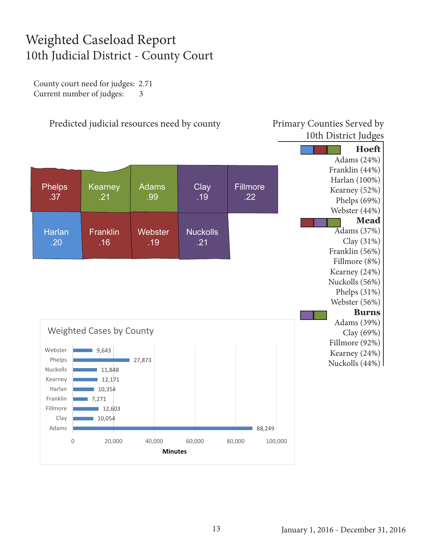#### Weighted Caseload Report 10th Judicial District - County Court

County court need for judges: 2.71 Current number of judges: 3

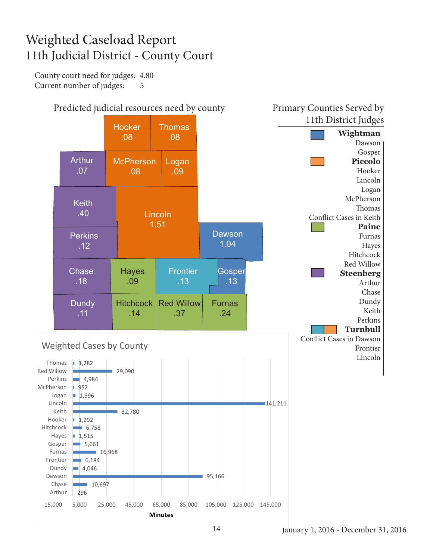### Weighted Caseload Report 11th Judicial District - County Court

County court need for judges: 4.80 Current number of judges: 5